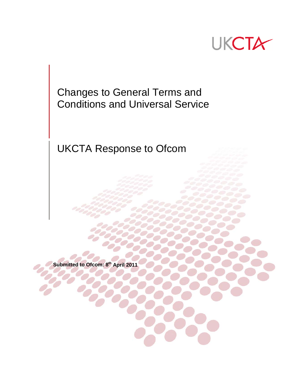

Changes to General Terms and Conditions and Universal Service

UKCTA Response to Ofcom

**Submitted to Ofcom: 8th April 2011**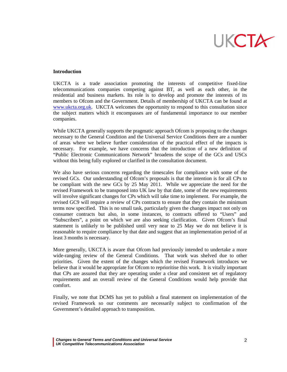

#### **Introduction**

UKCTA is a trade association promoting the interests of competitive fixed-line telecommunications companies competing against BT, as well as each other, in the residential and business markets. Its role is to develop and promote the interests of its members to Ofcom and the Government. Details of membership of UKCTA can be found at [www.ukcta.org.uk.](http://www.ukcta.org.uk/) UKCTA welcomes the opportunity to respond to this consultation since the subject matters which it encompasses are of fundamental importance to our member companies.

While UKCTA generally supports the pragmatic approach Ofcom is proposing to the changes necessary to the General Condition and the Universal Service Conditions there are a number of areas where we believe further consideration of the practical effect of the impacts is necessary. For example, we have concerns that the introduction of a new definition of "Public Electronic Communications Network" broadens the scope of the GCs and USCs without this being fully explored or clarified in the consultation document.

We also have serious concerns regarding the timescales for compliance with some of the revised GCs. Our understanding of Ofcom's proposals is that the intention is for all CPs to be compliant with the new GCs by 25 May 2011. While we appreciate the need for the revised Framework to be transposed into UK law by that date, some of the new requirements will involve significant changes for CPs which will take time to implement. For example, the revised GC9 will require a review of CPs contracts to ensure that they contain the minimum terms now specified. This is no small task, particularly given the changes impact not only on consumer contracts but also, in some instances, to contracts offered to "Users" and "Subscribers", a point on which we are also seeking clarification. Given Ofcom's final statement is unlikely to be published until very near to 25 May we do not believe it is reasonable to require compliance by that date and suggest that an implementation period of at least 3 months is necessary.

More generally, UKCTA is aware that Ofcom had previously intended to undertake a more wide-ranging review of the General Conditions. That work was shelved due to other priorities. Given the extent of the changes which the revised Framework introduces we believe that it would be appropriate for Ofcom to reprioritise this work. It is vitally important that CPs are assured that they are operating under a clear and consistent set of regulatory requirements and an overall review of the General Conditions would help provide that comfort.

Finally, we note that DCMS has yet to publish a final statement on implementation of the revised Framework so our comments are necessarily subject to confirmation of the Government's detailed approach to transposition.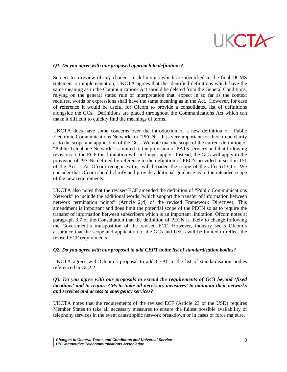

### *Q1. Do you agree with our proposed approach to definitions?*

Subject to a review of any changes to definitions which are identified in the final DCMS statement on implementation, UKCTA agrees that the identified definitions which have the same meaning as in the Communications Act should be deleted from the General Conditions, relying on the general stated rule of interpretation that, expect in so far as the context requires, words or expressions shall have the same meaning as in the Act. However, for ease of reference it would be useful for Ofcom to provide a consolidated list of definitions alongside the GCs. Definitions are placed throughout the Communications Act which can make it difficult to quickly find the meanings of terms.

UKCTA does have some concerns over the introduction of a new definition of "Public Electronic Communications Network" or "PECN". It is very important for there to be clarity as to the scope and application of the GCs. We note that the scope of the current definition of "Public Telephone Network" is limited to the provision of PATS services and that following revisions to the ECF this limitation will no longer apply. Instead, the GCs will apply to the provision of PECNs defined by reference to the definition of PECN provided in section 151 of the Act. As Ofcom recognises this will broaden the scope of the affected GCs. We consider that Ofcom should clarify and provide additional guidance as to the intended scope of the new requirements.

UKCTA also notes that the revised ECF amended the definition of "Public Communications Network" to include the additional words "which support the transfer of information between network termination points" (Article 2(d) of the revised Framework Directive). This amendment is important and does limit the potential scope of the PECN so as to require the transfer of information between subscribers which is an important limitation. Ofcom notes at paragraph 3.7 of the Consultation that the definition of PECN is likely to change following the Government's transposition of the revised ECF. However, industry seeks Ofcom's assurance that the scope and application of the GCs and USCs will be limited to reflect the revised ECF requirements.

#### *Q2. Do you agree with our proposal to add CEPT to the list of standardisation bodies?*

UKCTA agrees with Ofcom's proposal to add CEPT to the list of standardisation bodies referenced in GC2.2.

# *Q3. Do you agree with our proposals to extend the requirements of GC3 beyond 'fixed locations' and to require CPs to 'take all necessary measures' to maintain their networks and services and access to emergency services?*

UKCTA notes that the requirements of the revised ECF (Article 23 of the USD) requires Member States to take all necessary measures to ensure the fullest possible availability of telephony services in the event catastrophic network breakdown or in cases of force majeure.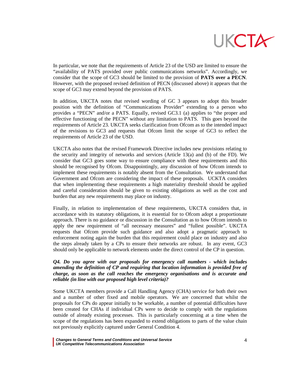

In particular, we note that the requirements of Article 23 of the USD are limited to ensure the "availability of PATS provided over public communications networks". Accordingly, we consider that the scope of GC3 should be limited to the provision of **PATS over a PECN**. However, with the proposed revised definition of PECN (discussed above) it appears that the scope of GC3 may extend beyond the provision of PATS.

In addition, UKCTA notes that revised wording of GC 3 appears to adopt this broader position with the definition of "Communications Provider" extending to a person who provides a "PECN" and/or a PATS. Equally, revised GC3.1 (a) applies to "the proper and effective functioning of the PECN" without any limitation to PATS. This goes beyond the requirements of Article 23. UKCTA seeks clarification from Ofcom as to the intended impact of the revisions to GC3 and requests that Ofcom limit the scope of GC3 to reflect the requirements of Article 23 of the USD.

UKCTA also notes that the revised Framework Directive includes new provisions relating to the security and integrity of networks and services (Article 13(a) and (b) of the FD). We consider that GC3 goes some way to ensure compliance with these requirements and this should be recognised by Ofcom. Disappointingly, any discussion of how Ofcom intends to implement these requirements is notably absent from the Consultation. We understand that Government and Ofcom are considering the impact of these proposals. UCKTA considers that when implementing these requirements a high materiality threshold should be applied and careful consideration should be given to existing obligations as well as the cost and burden that any new requirements may place on industry.

Finally, in relation to implementation of these requirements, UKCTA considers that, in accordance with its statutory obligations, it is essential for to Ofcom adopt a proportionate approach. There is no guidance or discussion in the Consultation as to how Ofcom intends to apply the new requirement of "all necessary measures" and "fullest possible". UKCTA requests that Ofcom provide such guidance and also adopt a pragmatic approach to enforcement noting again the burden that this requirement could place on industry and also the steps already taken by a CPs to ensure their networks are robust. In any event, GC3 should only be applicable to network elements under the direct control of the CP in question.

### *Q4. Do you agree with our proposals for emergency call numbers - which includes amending the definition of CP and requiring that location information is provided free of charge, as soon as the call reaches the emergency organisations and is accurate and reliable (in line with our proposed high level criteria)?*

Some UKCTA members provide a Call Handling Agency (CHA) service for both their own and a number of other fixed and mobile operators. We are concerned that whilst the proposals for CPs do appear initially to be workable, a number of potential difficulties have been created for CHAs if individual CPs were to decide to comply with the regulations outside of already existing processes. This is particularly concerning at a time when the scope of the regulations has been expanded to extend obligations to parts of the value chain not previously explicitly captured under General Condition 4.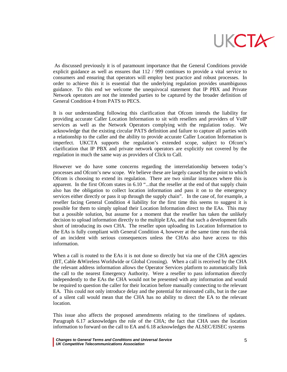

As discussed previously it is of paramount importance that the General Conditions provide explicit guidance as well as ensures that 112 / 999 continues to provide a vital service to consumers and ensuring that operators will employ best practice and robust processes. In order to achieve this it is essential that the underlying regulation provides unambiguous guidance. To this end we welcome the unequivocal statement that IP PBX and Private Network operators are not the intended parties to be captured by the broader definition of General Condition 4 from PATS to PECS.

It is our understanding following this clarification that Ofcom intends the liability for providing accurate Caller Location Information to sit with resellers and providers of VoIP services as well as the Network Operators complying with the regulation today. We acknowledge that the existing circular PATS definition and failure to capture all parties with a relationship to the caller and the ability to provide accurate Caller Location Information is imperfect. UKCTA supports the regulation's extended scope, subject to Ofcom's clarification that IP PBX and private network operators are explicitly not covered by the regulation in much the same way as providers of Click to Call.

However we do have some concerns regarding the interrelationship between today's processes and Ofcom's new scope. We believe these are largely caused by the point to which Ofcom is choosing to extend its regulation. There are two similar instances where this is apparent. In the first Ofcom states in 6.10 "...that the reseller at the end of that supply chain also has the obligation to collect location information and pass it on to the emergency services either directly or pass it up through the supply chain". In the case of, for example, a reseller facing General Condition 4 liability for the first time this seems to suggest it is possible for them to simply upload their Location Information direct to the EAs. This may but a possible solution, but assume for a moment that the reseller has taken the unlikely decision to upload information directly to the multiple EAs, and that such a development falls short of introducing its own CHA. The reseller upon uploading its Location Information to the EAs is fully compliant with General Condition 4, however at the same time runs the risk of an incident with serious consequences unless the CHAs also have access to this information.

When a call is routed to the EAs it is not done so directly but via one of the CHA agencies (BT, Cable &Wireless Worldwide or Global Crossing). When a call is received by the CHA the relevant address information allows the Operator Services platform to automatically link the call to the nearest Emergency Authority. Were a reseller to pass information directly independently to the EAs the CHA would not be presented with any information and would be required to question the caller for their location before manually connecting to the relevant EA. This could not only introduce delay and the potential for misrouted calls, but in the case of a silent call would mean that the CHA has no ability to direct the EA to the relevant location.

This issue also affects the proposed amendments relating to the timeliness of updates. Paragraph 6.17 acknowledges the role of the CHA; the fact that CHA uses the location information to forward on the call to EA and 6.18 acknowledges the ALSEC/EISEC systems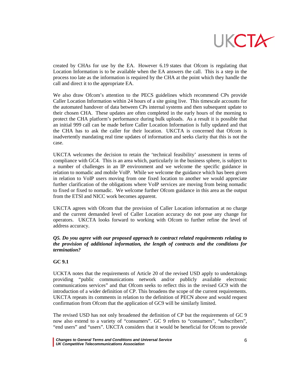

created by CHAs for use by the EA. However 6.19 states that Ofcom is regulating that Location Information is to be available when the EA answers the call. This is a step in the process too late as the information is required by the CHA at the point which they handle the call and direct it to the appropriate EA.

We also draw Ofcom's attention to the PECS guidelines which recommend CPs provide Caller Location Information within 24 hours of a site going live. This timescale accounts for the automated handover of data between CPs internal systems and then subsequent update to their chosen CHA. These updates are often completed in the early hours of the morning to protect the CHA platform's performance during bulk uploads. As a result it is possible that an initial 999 call can be made before Caller Location Information is fully updated and that the CHA has to ask the caller for their location. UKCTA is concerned that Ofcom is inadvertently mandating real time updates of information and seeks clarity that this is not the case.

UKCTA welcomes the decision to retain the 'technical feasibility' assessment in terms of compliance with GC4. This is an area which, particularly in the business sphere, is subject to a number of challenges in an IP environment and we welcome the specific guidance in relation to nomadic and mobile VoIP. While we welcome the guidance which has been given in relation to VoIP users moving from one fixed location to another we would appreciate further clarification of the obligations where VoIP services are moving from being nomadic to fixed or fixed to nomadic. We welcome further Ofcom guidance in this area as the output from the ETSI and NICC work becomes apparent.

UKCTA agrees with Ofcom that the provision of Caller Location information at no charge and the current demanded level of Caller Location accuracy do not pose any change for operators. UKCTA looks forward to working with Ofcom to further refine the level of address accuracy.

# *Q5. Do you agree with our proposed approach to contract related requirements relating to the provision of additional information, the length of contracts and the conditions for termination?*

# **GC 9.1**

UCKTA notes that the requirements of Article 20 of the revised USD apply to undertakings providing "public communications network and/or publicly available electronic communications services" and that Ofcom seeks to reflect this in the revised GC9 with the introduction of a wider definition of CP. This broadens the scope of the current requirements. UKCTA repeats its comments in relation to the definition of PECN above and would request confirmation from Ofcom that the application of GC9 will be similarly limited.

The revised USD has not only broadened the definition of CP but the requirements of GC 9 now also extend to a variety of "consumers". GC 9 refers to "consumers", "subscribers", "end users" and "users". UKCTA considers that it would be beneficial for Ofcom to provide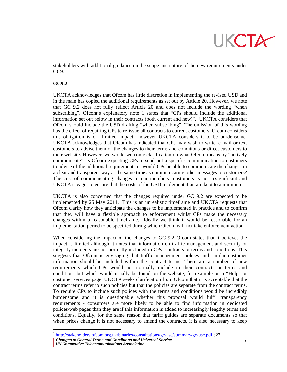

stakeholders with additional guidance on the scope and nature of the new requirements under GC9.

#### **GC9.2**

UKCTA acknowledges that Ofcom has little discretion in implementing the revised USD and in the main has copied the additional requirements as set out by Article 20. However, we note that GC 9.2 does not fully reflect Article 20 and does not include the wording "when subscribing". Ofcom's explanatory note [1](#page-6-0) states that "CPs should include the additional information set out below in their contracts (both current and new)". UKCTA considers that Ofcom should include the USD drafting "when subscribing". The omission of this wording has the effect of requiring CPs to re-issue all contracts to current customers. Ofcom considers this obligation is of "limited impact" however UKCTA considers it to be burdensome. UKCTA acknowledges that Ofcom has indicated that CPs may wish to write, e-mail or text customers to advise them of the changes to their terms and conditions or direct customers to their website. However, we would welcome clarification on what Ofcom means by "actively communicate". Is Ofcom expecting CPs to send out a specific communication to customers to advise of the additional requirements or would CPs be able to communicate the changes in a clear and transparent way at the same time as communicating other messages to customers? The cost of communicating changes to our members' customers is not insignificant and UKCTA is eager to ensure that the costs of the USD implementation are kept to a minimum.

UKCTA is also concerned that the changes required under GC 9.2 are expected to be implemented by 25 May 2011. This is an unrealistic timeframe and UKCTA requests that Ofcom clarify how they anticipate the changes to be implemented in practice and to confirm that they will have a flexible approach to enforcement whilst CPs make the necessary changes within a reasonable timeframe. Ideally we think it would be reasonable for an implementation period to be specified during which Ofcom will not take enforcement action.

When considering the impact of the changes to GC 9.2 Ofcom states that it believes the impact is limited although it notes that information on traffic management and security or integrity incidents are not normally included in CPs' contracts or terms and conditions. This suggests that Ofcom is envisaging that traffic management polices and similar customer information should be included within the contract terms. There are a number of new requirements which CPs would not normally include in their contracts or terms and conditions but which would usually be found on the website, for example on a "Help" or customer services page. UKCTA seeks clarification from Ofcom that it is acceptable that the contract terms refer to such policies but that the policies are separate from the contract terms. To require CPs to include such polices with the terms and conditions would be incredibly burdensome and it is questionable whether this proposal would fulfil transparency requirements - consumers are more likely to be able to find information in dedicated polices/web pages than they are if this information is added to increasingly lengthy terms and conditions. Equally, for the same reason that tariff guides are separate documents so that when prices change it is not necessary to amend the contracts, it is also necessary to keep

 <sup>1</sup> <http://stakeholders.ofcom.org.uk/binaries/consultations/gc-usc/summary/gc-usc.pdf> p27

<span id="page-6-0"></span>*Changes to General Terms and Conditions and Universal Service* 7

*UK Competitive Telecommunications Association*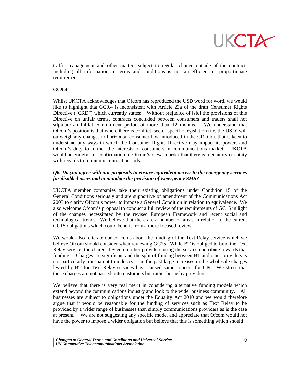

traffic management and other matters subject to regular change outside of the contract. Including all information in terms and conditions is not an efficient or proportionate requirement.

### **GC9.4**

Whilst UKCTA acknowledges that Ofcom has reproduced the USD word for word, we would like to highlight that GC9.4 is inconsistent with Article 23a of the draft Consumer Rights Directive ("CRD") which currently states: "Without prejudice of [sic] the provisions of this Directive on unfair terms, contracts concluded between consumers and traders shall not stipulate an initial commitment period of more than 12 months." We understand that Ofcom's position is that where there is conflict, sector-specific legislation (i.e. the USD) will outweigh any changes to horizontal consumer law introduced in the CRD but that it keen to understand any ways in which the Consumer Rights Directive may impact its powers and Ofcom's duty to further the interests of consumers in communications market. UKCTA would be grateful for confirmation of Ofcom's view in order that there is regulatory certainty with regards to minimum contract periods.

# *Q6. Do you agree with our proposals to ensure equivalent access to the emergency services for disabled users and to mandate the provision of Emergency SMS?*

UKCTA member companies take their existing obligations under Condition 15 of the General Conditions seriously and are supportive of amendment of the Communications Act 2003 to clarify Ofcom's power to impose a General Condition in relation to equivalence. We also welcome Ofcom's proposal to conduct a full review of the requirements of GC15 in light of the changes necessitated by the revised European Framework and recent social and technological trends. We believe that there are a number of areas in relation to the current GC15 obligations which could benefit from a more focused review.

We would also reiterate our concerns about the funding of the Text Relay service which we believe Ofcom should consider when reviewing GC15. While BT is obliged to fund the Text Relay service, the charges levied on other providers using the service contribute towards that funding. Charges are significant and the split of funding between BT and other providers is not particularly transparent to industry  $-$  in the past large increases in the wholesale charges levied by BT for Text Relay services have caused some concern for CPs. We stress that these charges are not passed onto customers but rather borne by providers.

We believe that there is very real merit in considering alternative funding models which extend beyond the communications industry and look to the wider business community. All businesses are subject to obligations under the Equality Act 2010 and we would therefore argue that it would be reasonable for the funding of services such as Text Relay to be provided by a wider range of businesses than simply communications providers as is the case at present. We are not suggesting any specific model and appreciate that Ofcom would not have the power to impose a wider obligation but believe that this is something which should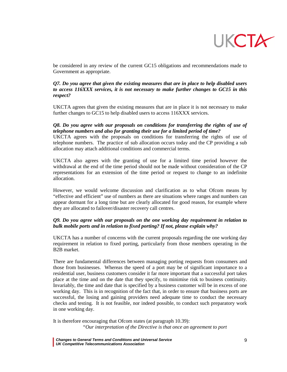

be considered in any review of the current GC15 obligations and recommendations made to Government as appropriate.

# *Q7. Do you agree that given the existing measures that are in place to help disabled users to access 116XXX services, it is not necessary to make further changes to GC15 in this respect?*

UKCTA agrees that given the existing measures that are in place it is not necessary to make further changes to GC15 to help disabled users to access 116XXX services.

### *Q8. Do you agree with our proposals on conditions for transferring the rights of use of telephone numbers and also for granting their use for a limited period of time?*

UKCTA agrees with the proposals on conditions for transferring the rights of use of telephone numbers. The practice of sub allocation occurs today and the CP providing a sub allocation may attach additional conditions and commercial terms.

UKCTA also agrees with the granting of use for a limited time period however the withdrawal at the end of the time period should not be made without consideration of the CP representations for an extension of the time period or request to change to an indefinite allocation.

However, we would welcome discussion and clarification as to what Ofcom means by "effective and efficient" use of numbers as there are situations where ranges and numbers can appear dormant for a long time but are clearly allocated for good reason, for example where they are allocated to failover/disaster recovery call centres.

# *Q9. Do you agree with our proposals on the one working day requirement in relation to bulk mobile ports and in relation to fixed porting? If not, please explain why?*

UKCTA has a number of concerns with the current proposals regarding the one working day requirement in relation to fixed porting, particularly from those members operating in the B2B market.

There are fundamental differences between managing porting requests from consumers and those from businesses. Whereas the speed of a port may be of significant importance to a residential user, business customers consider it far more important that a successful port takes place at the time and on the date that they specify, to minimise risk to business continuity. Invariably, the time and date that is specified by a business customer will be in excess of one working day. This is in recognition of the fact that, in order to ensure that business ports are successful, the losing and gaining providers need adequate time to conduct the necessary checks and testing. It is not feasible, nor indeed possible, to conduct such preparatory work in one working day.

It is therefore encouraging that Ofcom states (at paragraph 10.39): *"Our interpretation of the Directive is that once an agreement to port*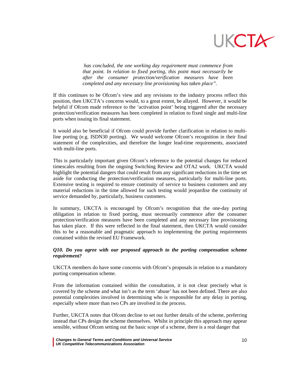

*has concluded, the one working day requirement must commence from that point. In relation to fixed porting, this point must necessarily be after the consumer protection/verification measures have been completed and any necessary line provisioning has taken place".*

If this continues to be Ofcom's view and any revisions to the industry process reflect this position, then UKCTA's concerns would, to a great extent, be allayed. However, it would be helpful if Ofcom made reference to the 'activation point' being triggered after the necessary protection/verification measures has been completed in relation to fixed single and multi-line ports when issuing its final statement.

It would also be beneficial if Ofcom could provide further clarification in relation to multiline porting (e.g. ISDN30 porting). We would welcome Ofcom's recognition in their final statement of the complexities, and therefore the longer lead-time requirements, associated with multi-line ports.

This is particularly important given Ofcom's reference to the potential changes for reduced timescales resulting from the ongoing Switching Review and OTA2 work. UKCTA would highlight the potential dangers that could result from any significant reductions in the time set aside for conducting the protection/verification measures, particularly for multi-line ports. Extensive testing is required to ensure continuity of service to business customers and any material reductions in the time allowed for such testing would jeopardise the continuity of service demanded by, particularly, business customers.

In summary, UKCTA is encouraged by Ofcom's recognition that the one-day porting obligation in relation to fixed porting, must necessarily commence after the consumer protection/verification measures have been completed and any necessary line provisioning has taken place. If this were reflected in the final statement, then UKCTA would consider this to be a reasonable and pragmatic approach to implementing the porting requirements contained within the revised EU Framework.

#### *Q10. Do you agree with our proposed approach to the porting compensation scheme requirement?*

UKCTA members do have some concerns with Ofcom's proposals in relation to a mandatory porting compensation scheme.

From the information contained within the consultation, it is not clear precisely what is covered by the scheme and what isn't as the term 'abuse' has not been defined. There are also potential complexities involved in determining who is responsible for any delay in porting, especially where more than two CPs are involved in the process.

Further, UKCTA notes that Ofcom decline to set out further details of the scheme, preferring instead that CPs design the scheme themselves. Whilst in principle this approach may appear sensible, without Ofcom setting out the basic scope of a scheme, there is a real danger that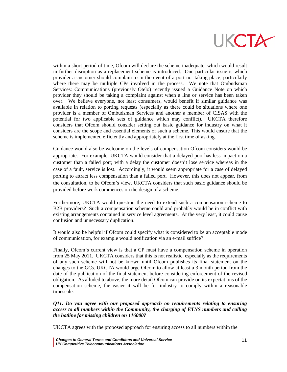

within a short period of time, Ofcom will declare the scheme inadequate, which would result in further disruption as a replacement scheme is introduced. One particular issue is which provider a customer should complain to in the event of a port not taking place, particularly where there may be multiple CPs involved in the process. We note that Ombudsman Services: Communications (previously Otelo) recently issued a Guidance Note on which provider they should be taking a complaint against when a line or service has been taken over. We believe everyone, not least consumers, would benefit if similar guidance was available in relation to porting requests (especially as there could be situations where one provider is a member of Ombudsman Services and another a member of CISAS with the potential for two applicable sets of guidance which may conflict). UKCTA therefore considers that Ofcom should consider setting out basic guidance for industry on what it considers are the scope and essential elements of such a scheme. This would ensure that the scheme is implemented efficiently and appropriately at the first time of asking.

Guidance would also be welcome on the levels of compensation Ofcom considers would be appropriate. For example, UKCTA would consider that a delayed port has less impact on a customer than a failed port; with a delay the customer doesn't lose service whereas in the case of a fault, service is lost. Accordingly, it would seem appropriate for a case of delayed porting to attract less compensation than a failed port. However, this does not appear, from the consultation, to be Ofcom's view. UKCTA considers that such basic guidance should be provided before work commences on the design of a scheme.

Furthermore, UKCTA would question the need to extend such a compensation scheme to B2B providers? Such a compensation scheme could and probably would be in conflict with existing arrangements contained in service level agreements. At the very least, it could cause confusion and unnecessary duplication.

It would also be helpful if Ofcom could specify what is considered to be an acceptable mode of communication, for example would notification via an e-mail suffice?

Finally, Ofcom's current view is that a CP must have a compensation scheme in operation from 25 May 2011. UKCTA considers that this is not realistic, especially as the requirements of any such scheme will not be known until Ofcom publishes its final statement on the changes to the GCs. UKCTA would urge Ofcom to allow at least a 3 month period from the date of the publication of the final statement before considering enforcement of the revised obligation. As alluded to above, the more detail Ofcom can provide on its expectations of the compensation scheme, the easier it will be for industry to comply within a reasonable timescale.

### *Q11. Do you agree with our proposed approach on requirements relating to ensuring access to all numbers within the Community, the charging of ETNS numbers and calling the hotline for missing children on 116000?*

UKCTA agrees with the proposed approach for ensuring access to all numbers within the